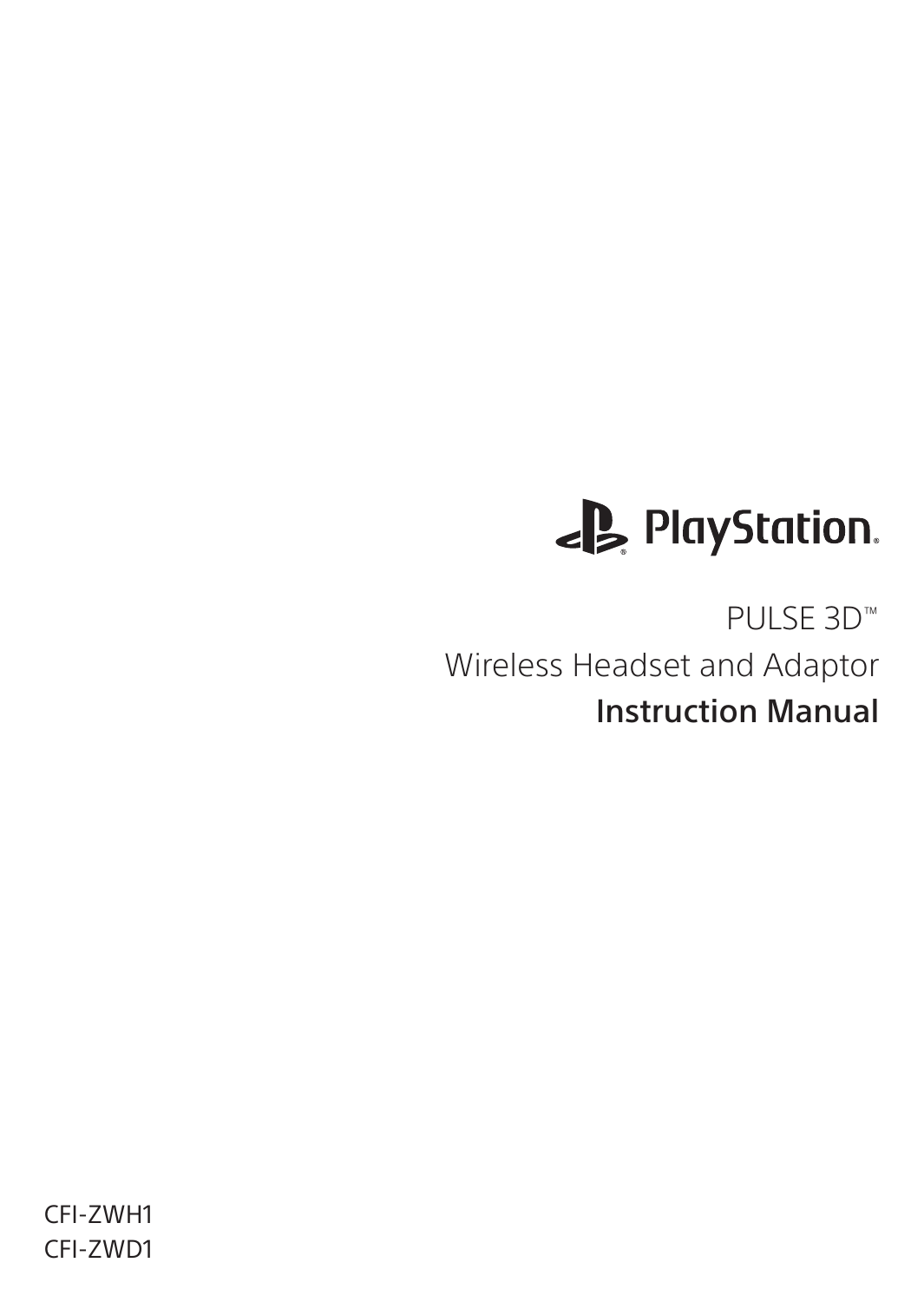# PlayStation.

PULSE 3D™ Wireless Headset and Adaptor Instruction Manual

CFI-ZWH1 CFI-ZWD1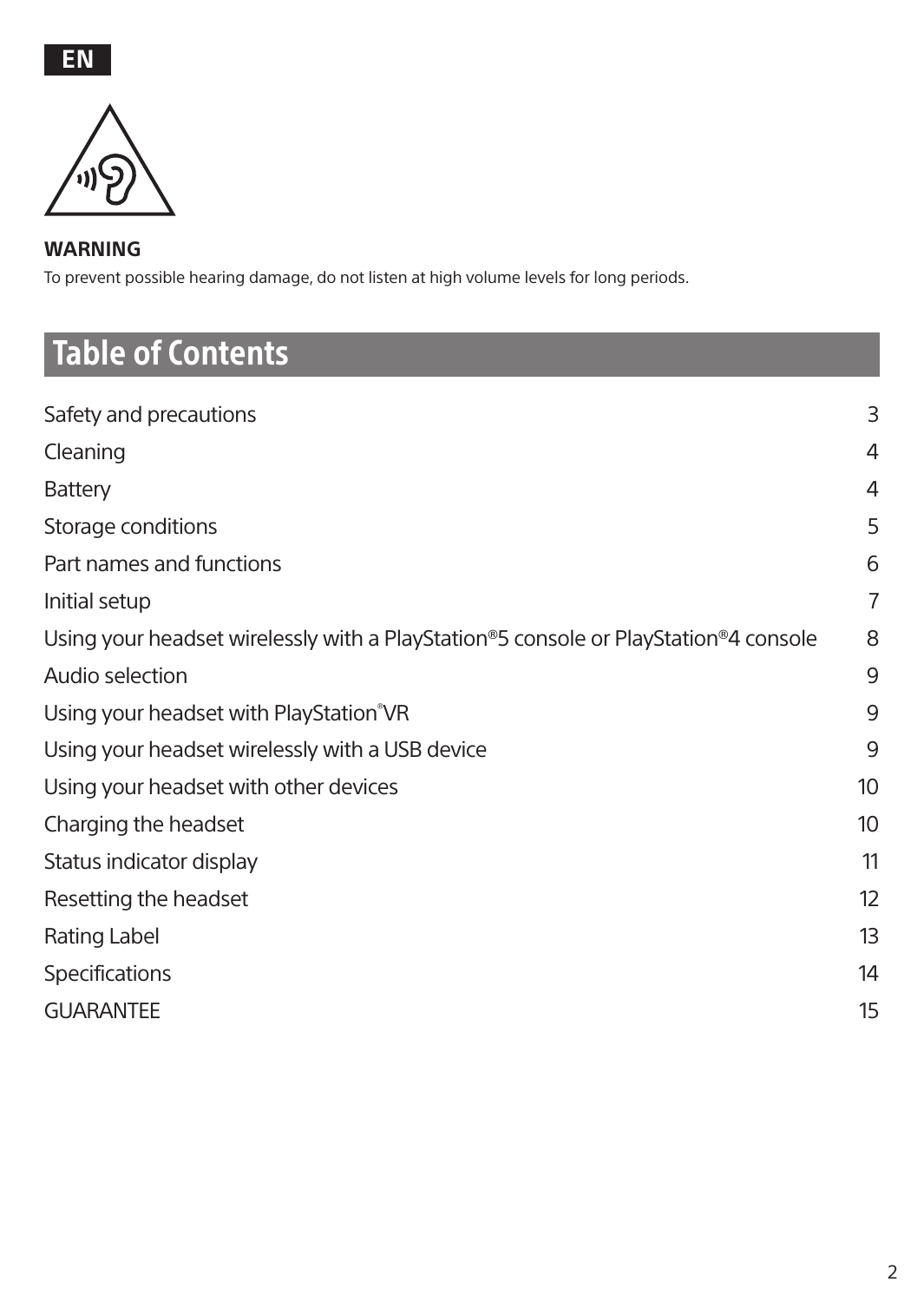#### **WARNING**

To prevent possible hearing damage, do not listen at high volume levels for long periods.

# Table of Contents

| Safety and precautions                                                              | 3              |
|-------------------------------------------------------------------------------------|----------------|
| Cleaning                                                                            | 4              |
| Battery                                                                             | 4              |
| Storage conditions                                                                  | 5              |
| Part names and functions                                                            | 6              |
| Initial setup                                                                       | $\overline{7}$ |
| Using your headset wirelessly with a PlayStation®5 console or PlayStation®4 console | 8              |
| Audio selection                                                                     | 9              |
| Using your headset with PlayStation®VR                                              | 9              |
| Using your headset wirelessly with a USB device                                     | 9              |
| Using your headset with other devices                                               | 10             |
| Charging the headset                                                                | 10             |
| Status indicator display                                                            | 11             |
| Resetting the headset                                                               | 12             |
| Rating Label                                                                        | 13             |
| Specifications                                                                      | 14             |
| <b>GUARANTEE</b>                                                                    | 15             |
|                                                                                     |                |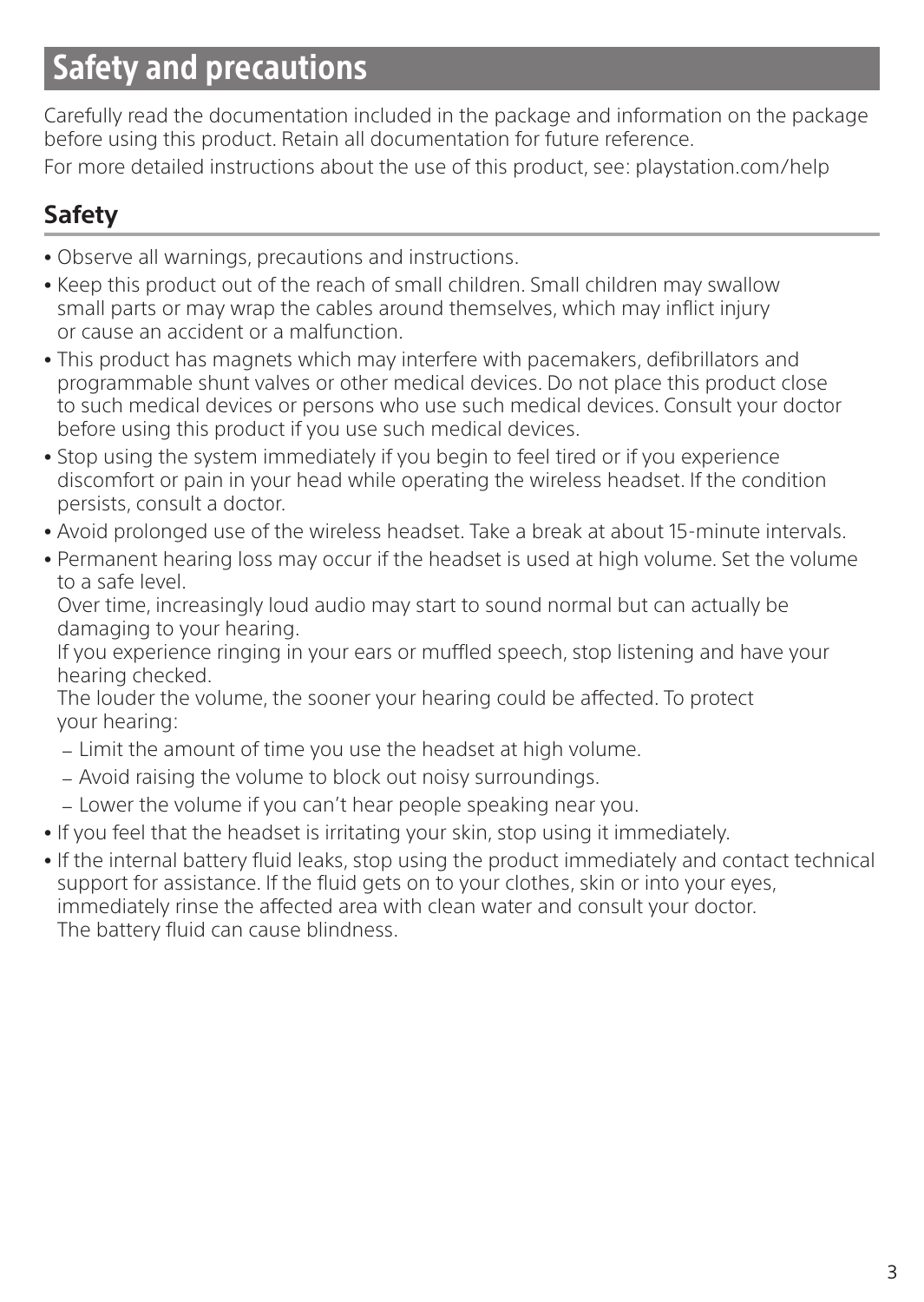### Safety and precautions

Carefully read the documentation included in the package and information on the package before using this product. Retain all documentation for future reference. For more detailed instructions about the use of this product, see: playstation.com/help

### **Safety**

- <sup>ˎ</sup> Observe all warnings, precautions and instructions.
- <sup>ˎ</sup> Keep this product out of the reach of small children. Small children may swallow small parts or may wrap the cables around themselves, which may inflict injury or cause an accident or a malfunction.
- <sup>ˎ</sup> This product has magnets which may interfere with pacemakers, defibrillators and programmable shunt valves or other medical devices. Do not place this product close to such medical devices or persons who use such medical devices. Consult your doctor before using this product if you use such medical devices.
- <sup>ˎ</sup> Stop using the system immediately if you begin to feel tired or if you experience discomfort or pain in your head while operating the wireless headset. If the condition persists, consult a doctor.
- <sup>ˎ</sup> Avoid prolonged use of the wireless headset. Take a break at about 15-minute intervals.
- <sup>ˎ</sup> Permanent hearing loss may occur if the headset is used at high volume. Set the volume to a safe level.

Over time, increasingly loud audio may start to sound normal but can actually be damaging to your hearing.

If you experience ringing in your ears or muffled speech, stop listening and have your hearing checked.

The louder the volume, the sooner your hearing could be affected. To protect your hearing:

- Limit the amount of time you use the headset at high volume.
- $=$  Avoid raising the volume to block out noisy surroundings.
- $=$  Lower the volume if you can't hear people speaking near you.
- <sup>ˎ</sup> If you feel that the headset is irritating your skin, stop using it immediately.
- <sup>ˎ</sup> If the internal battery fluid leaks, stop using the product immediately and contact technical support for assistance. If the fluid gets on to your clothes, skin or into your eyes, immediately rinse the affected area with clean water and consult your doctor. The battery fluid can cause blindness.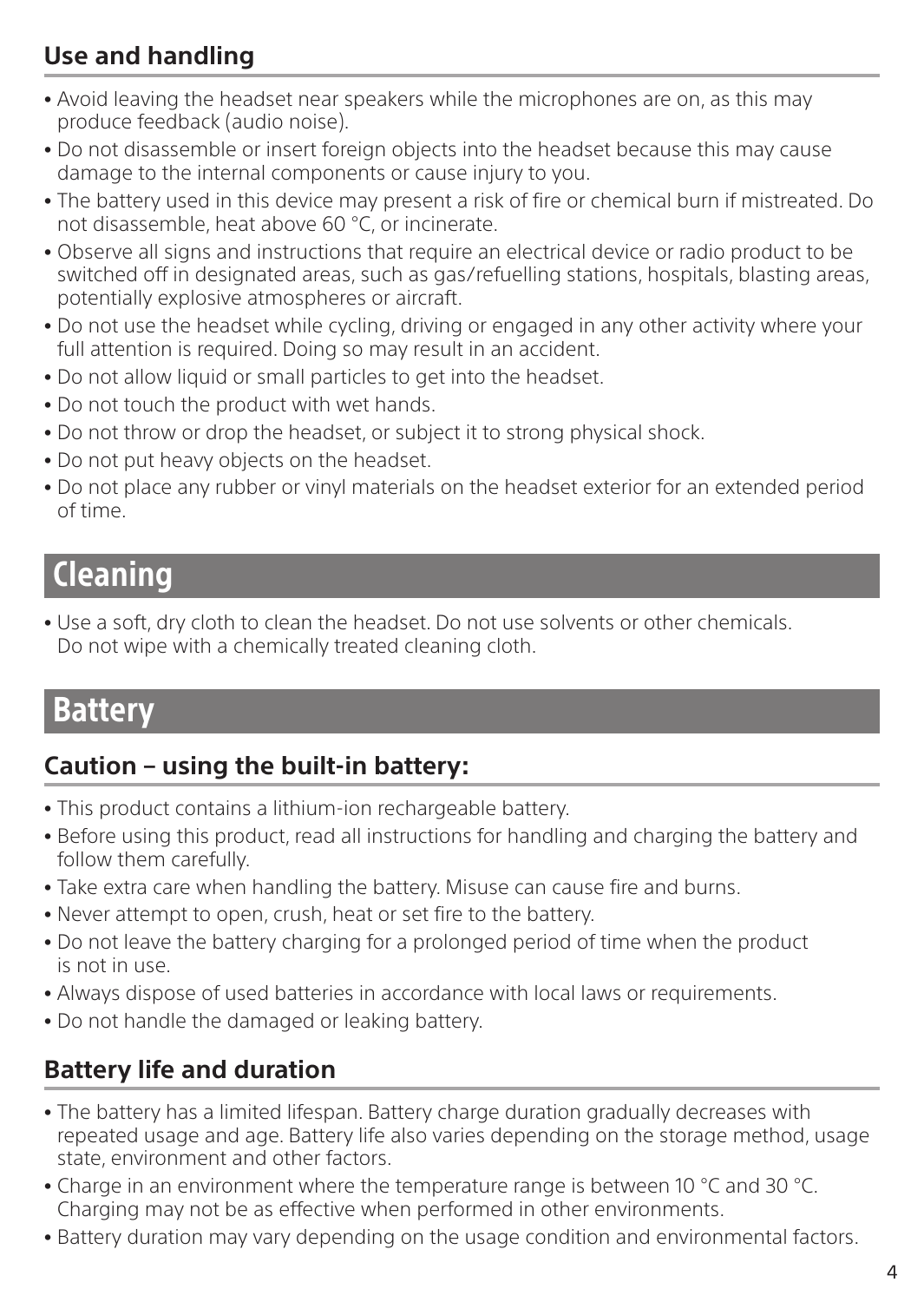### **Use and handling**

- <sup>ˎ</sup> Avoid leaving the headset near speakers while the microphones are on, as this may produce feedback (audio noise).
- <sup>ˎ</sup> Do not disassemble or insert foreign objects into the headset because this may cause damage to the internal components or cause injury to you.
- The battery used in this device may present a risk of fire or chemical burn if mistreated. Do not disassemble, heat above 60 °C, or incinerate.
- <sup>ˎ</sup> Observe all signs and instructions that require an electrical device or radio product to be switched off in designated areas, such as gas/refuelling stations, hospitals, blasting areas, potentially explosive atmospheres or aircraft.
- <sup>ˎ</sup> Do not use the headset while cycling, driving or engaged in any other activity where your full attention is required. Doing so may result in an accident.
- <sup>ˎ</sup> Do not allow liquid or small particles to get into the headset.
- Do not touch the product with wet hands.
- Do not throw or drop the headset, or subject it to strong physical shock.
- Do not put heavy objects on the headset.
- <sup>ˎ</sup> Do not place any rubber or vinyl materials on the headset exterior for an extended period of time.

## Cleaning

• Use a soft, dry cloth to clean the headset. Do not use solvents or other chemicals. Do not wipe with a chemically treated cleaning cloth.

### **Battery**

#### **Caution – using the built-in battery:**

- <sup>ˎ</sup> This product contains a lithium-ion rechargeable battery.
- <sup>ˎ</sup> Before using this product, read all instructions for handling and charging the battery and follow them carefully.
- Take extra care when handling the battery. Misuse can cause fire and burns.
- <sup>ˎ</sup> Never attempt to open, crush, heat or set fire to the battery.
- <sup>ˎ</sup> Do not leave the battery charging for a prolonged period of time when the product is not in use.
- <sup>ˎ</sup> Always dispose of used batteries in accordance with local laws or requirements.
- <sup>ˎ</sup> Do not handle the damaged or leaking battery.

#### **Battery life and duration**

- The battery has a limited lifespan. Battery charge duration gradually decreases with repeated usage and age. Battery life also varies depending on the storage method, usage state, environment and other factors.
- Charge in an environment where the temperature range is between 10 °C and 30 °C. Charging may not be as effective when performed in other environments.
- Battery duration may vary depending on the usage condition and environmental factors.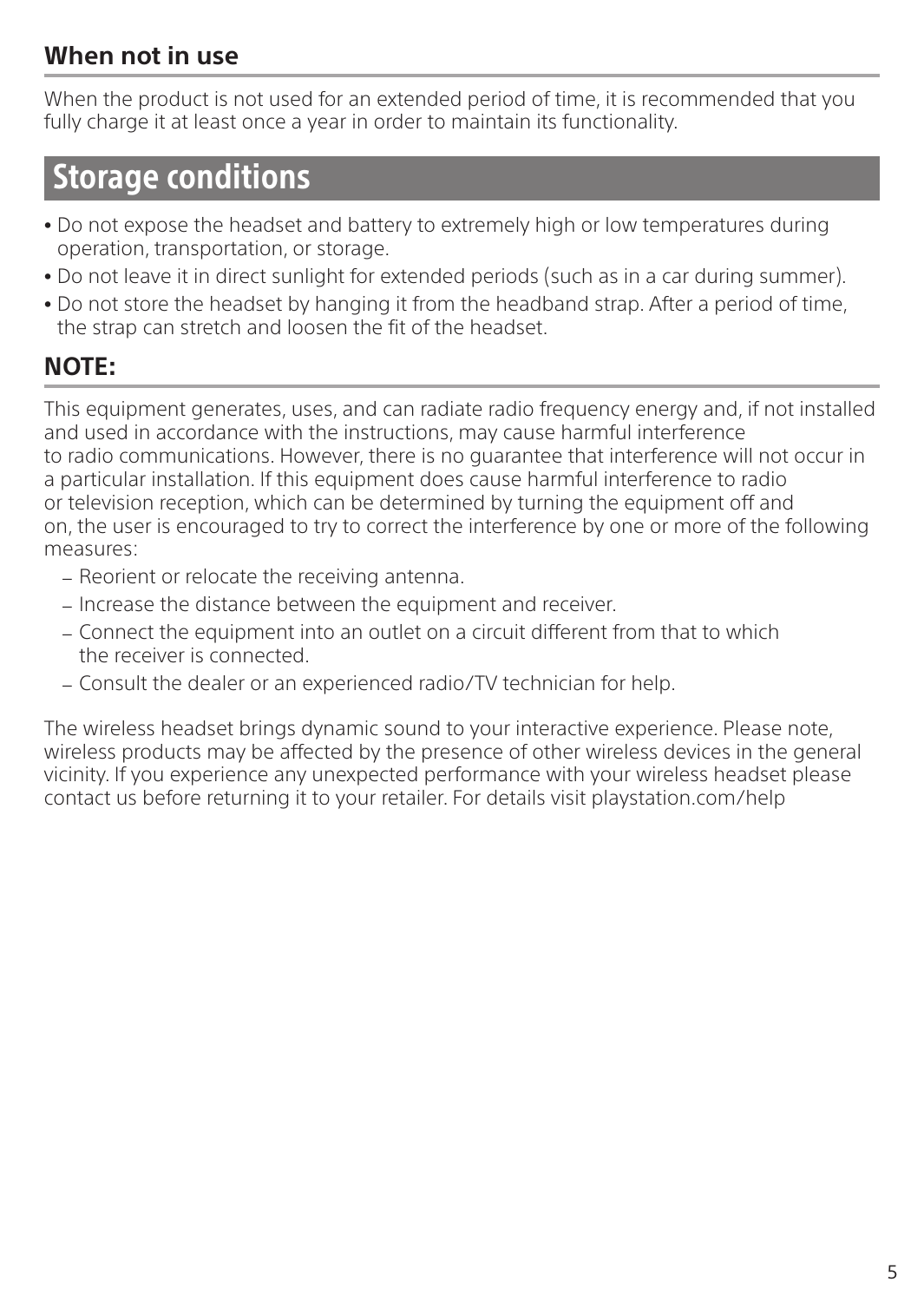#### **When not in use**

When the product is not used for an extended period of time, it is recommended that you fully charge it at least once a year in order to maintain its functionality.

### Storage conditions

- <sup>ˎ</sup> Do not expose the headset and battery to extremely high or low temperatures during operation, transportation, or storage.
- <sup>ˎ</sup> Do not leave it in direct sunlight for extended periods (such as in a car during summer).
- Do not store the headset by hanging it from the headband strap. After a period of time, the strap can stretch and loosen the fit of the headset.

#### **NOTE:**

This equipment generates, uses, and can radiate radio frequency energy and, if not installed and used in accordance with the instructions, may cause harmful interference to radio communications. However, there is no guarantee that interference will not occur in a particular installation. If this equipment does cause harmful interference to radio or television reception, which can be determined by turning the equipment off and on, the user is encouraged to try to correct the interference by one or more of the following measures:

- Reorient or relocate the receiving antenna.
- $=$  Increase the distance between the equipment and receiver.
- <sup>ˋ</sup> Connect the equipment into an outlet on a circuit different from that to which the receiver is connected.
- Consult the dealer or an experienced radio/TV technician for help.

The wireless headset brings dynamic sound to your interactive experience. Please note, wireless products may be affected by the presence of other wireless devices in the general vicinity. If you experience any unexpected performance with your wireless headset please contact us before returning it to your retailer. For details visit playstation.com/help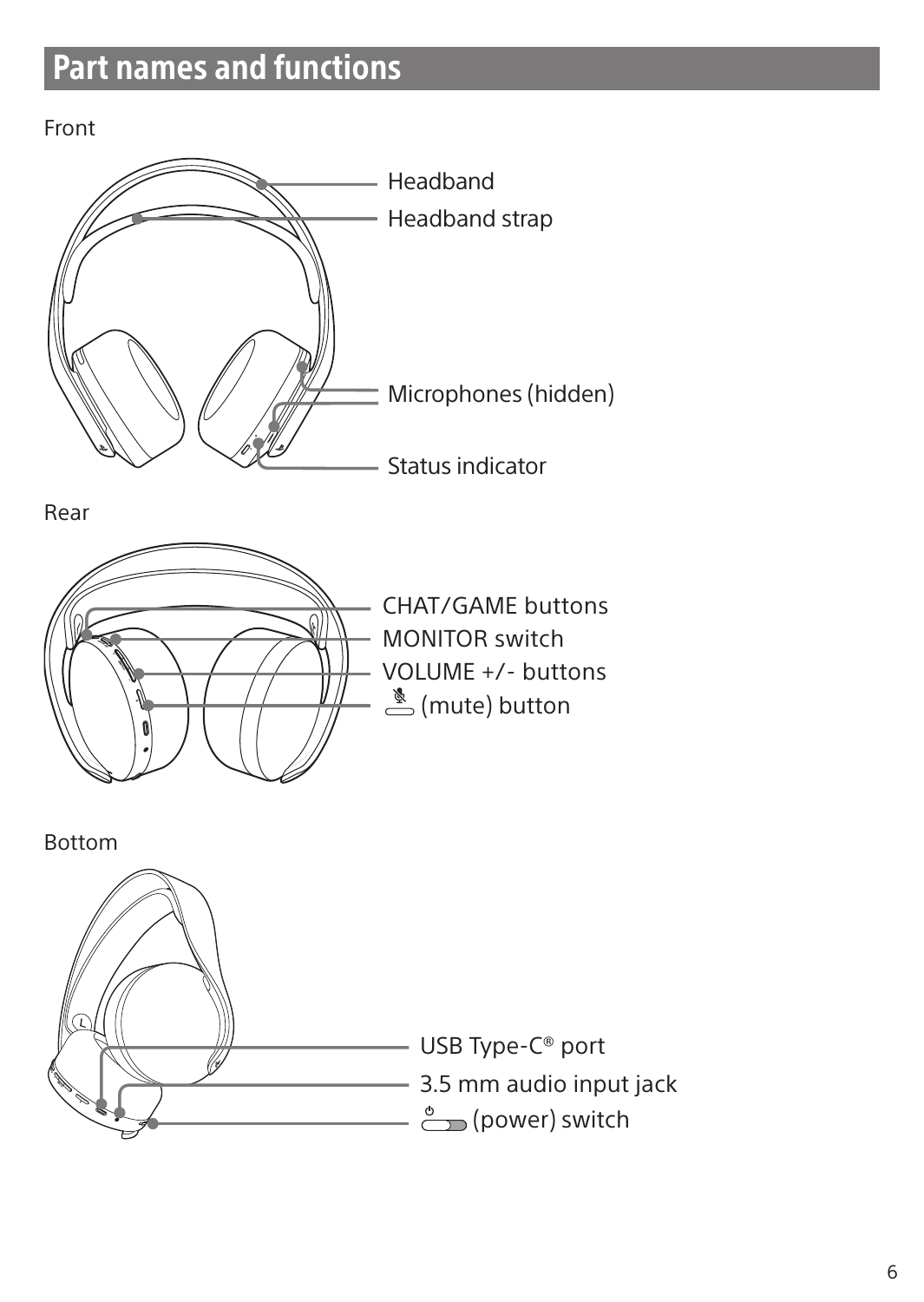# Part names and functions

Front





CHAT/GAME buttons MONITOR switch VOLUME +/- buttons  $\stackrel{\&}{\equiv}$  (mute) button



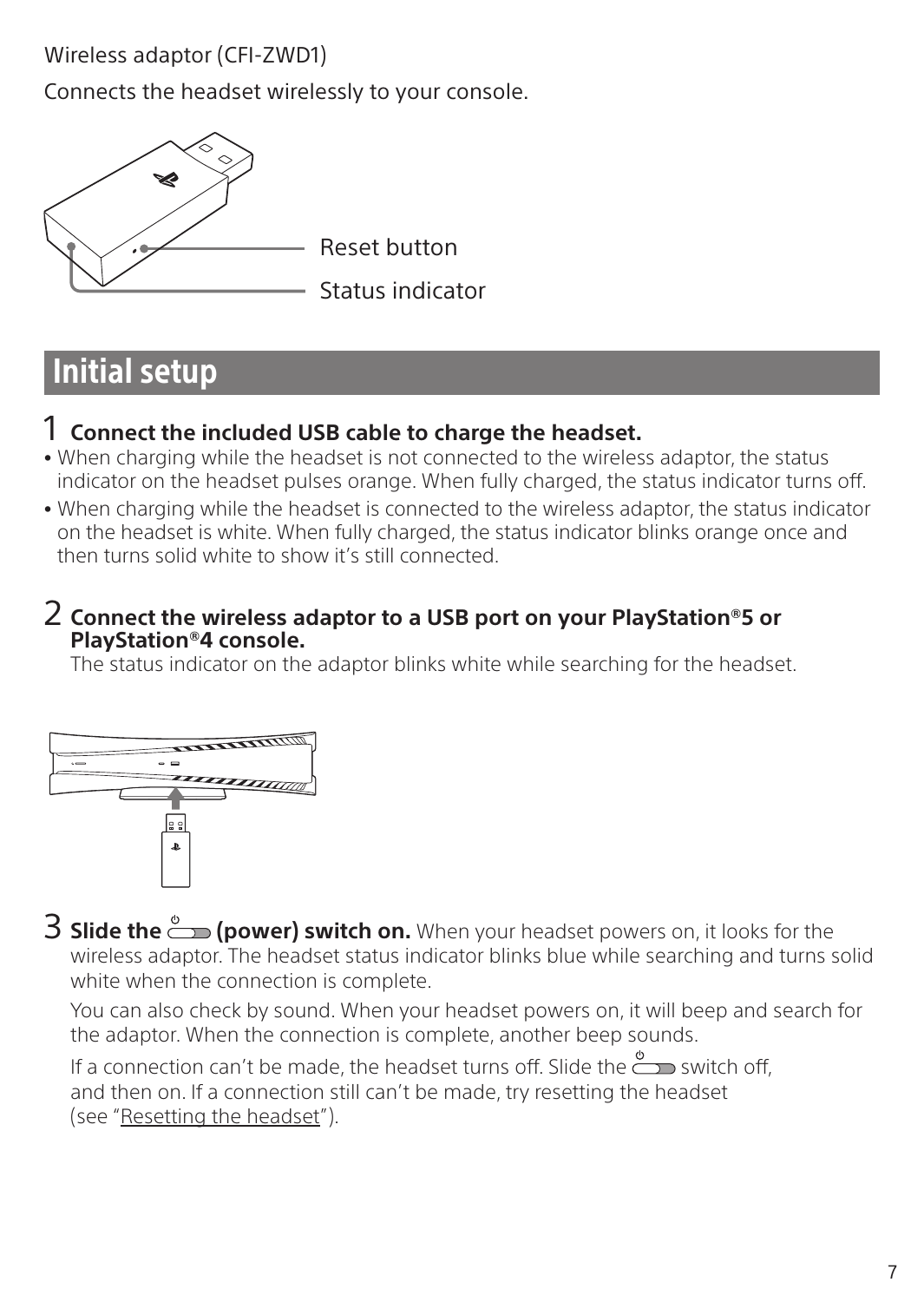Wireless adaptor (CFI-ZWD1)

Connects the headset wirelessly to your console.



Reset button

Status indicator

# Initial setup

#### 1 **Connect the included USB cable to charge the headset.**

- <sup>ˎ</sup> When charging while the headset is not connected to the wireless adaptor, the status indicator on the headset pulses orange. When fully charged, the status indicator turns off.
- <sup>ˎ</sup> When charging while the headset is connected to the wireless adaptor, the status indicator on the headset is white. When fully charged, the status indicator blinks orange once and then turns solid white to show it's still connected.

#### 2 **Connect the wireless adaptor to a USB port on your PlayStation®5 or PlayStation®4 console.**

The status indicator on the adaptor blinks white while searching for the headset.



3 **Slide the (power) switch on.** When your headset powers on, it looks for the wireless adaptor. The headset status indicator blinks blue while searching and turns solid white when the connection is complete.

You can also check by sound. When your headset powers on, it will beep and search for the adaptor. When the connection is complete, another beep sounds.

If a connection can't be made, the headset turns off. Slide the  $\stackrel{\phi}{\longrightarrow}$  switch off. and then on. If a connection still can't be made, try resetting the headset (see "Resetting the headset").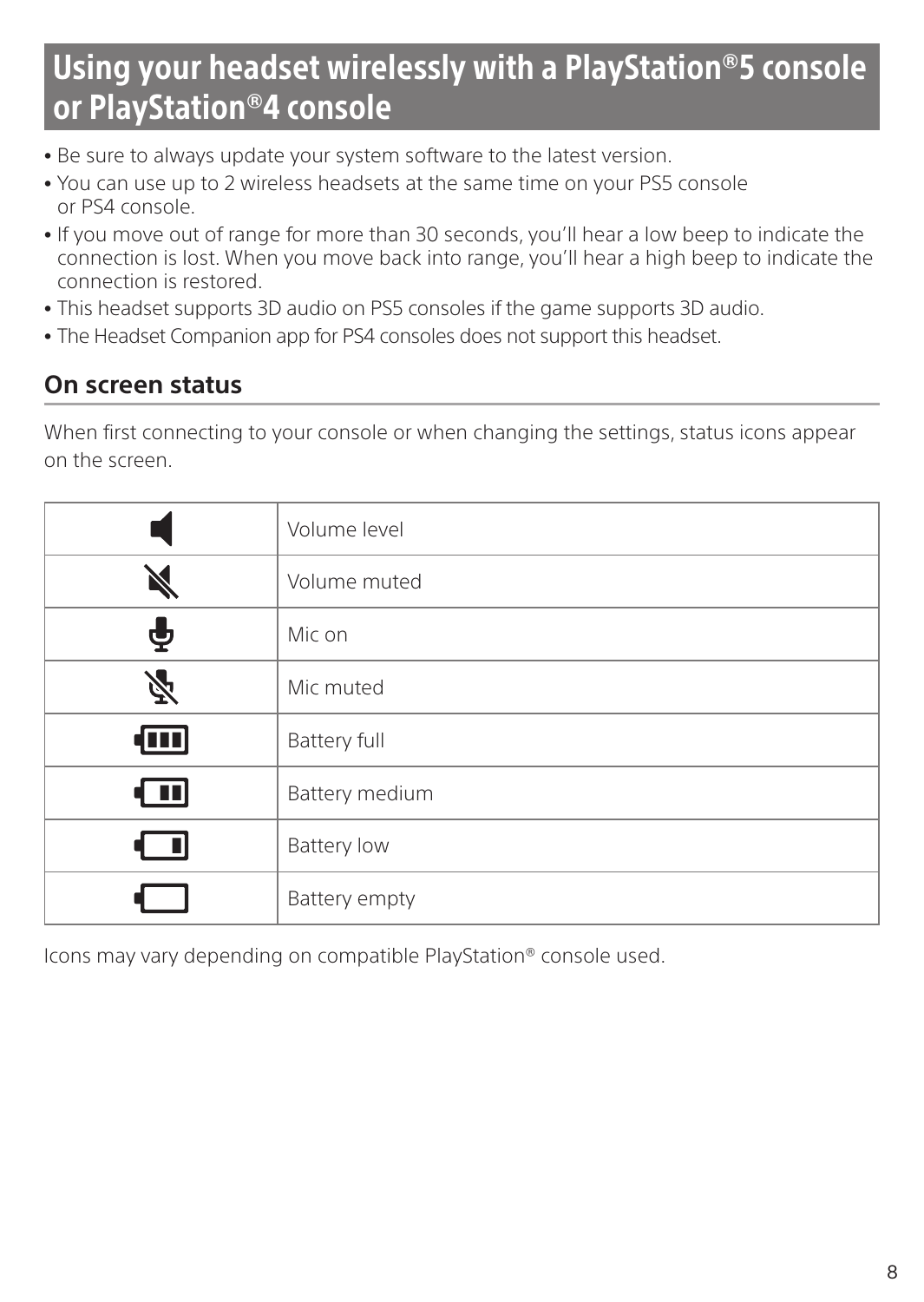# Using your headset wirelessly with a PlayStation®5 console or PlayStation®4 console

- Be sure to always update your system software to the latest version.
- <sup>ˎ</sup> You can use up to 2 wireless headsets at the same time on your PS5 console or PS4 console.
- <sup>ˎ</sup> If you move out of range for more than 30 seconds, you'll hear a low beep to indicate the connection is lost. When you move back into range, you'll hear a high beep to indicate the connection is restored.
- <sup>ˎ</sup> This headset supports 3D audio on PS5 consoles if the game supports 3D audio.
- The Headset Companion app for PS4 consoles does not support this headset.

#### **On screen status**

When first connecting to your console or when changing the settings, status icons appear on the screen.

|                         | Volume level       |
|-------------------------|--------------------|
|                         | Volume muted       |
| ф                       | Mic on             |
| 必                       | Mic muted          |
| $\overline{\mathbf{m}}$ | Battery full       |
| ( 11)                   | Battery medium     |
| - U                     | <b>Battery low</b> |
|                         | Battery empty      |

Icons may vary depending on compatible PlayStation® console used.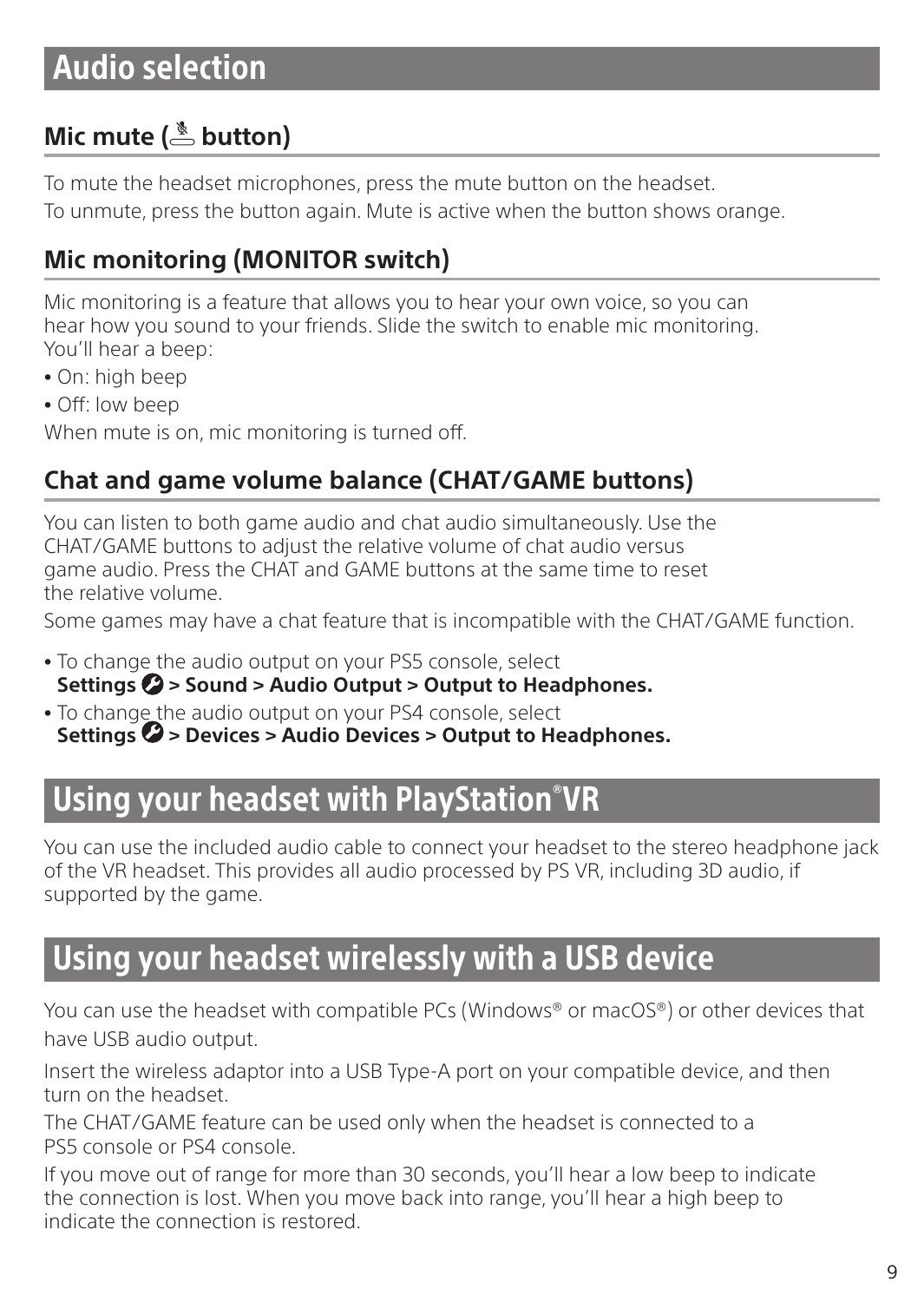## Audio selection

### **Mic mute ( button)**

To mute the headset microphones, press the mute button on the headset. To unmute, press the button again. Mute is active when the button shows orange.

### **Mic monitoring (MONITOR switch)**

Mic monitoring is a feature that allows you to hear your own voice, so you can hear how you sound to your friends. Slide the switch to enable mic monitoring. You'll hear a beep:

- On: high beep
- Off: low beep

When mute is on, mic monitoring is turned off.

### **Chat and game volume balance (CHAT/GAME buttons)**

You can listen to both game audio and chat audio simultaneously. Use the CHAT/GAME buttons to adjust the relative volume of chat audio versus game audio. Press the CHAT and GAME buttons at the same time to reset the relative volume.

Some games may have a chat feature that is incompatible with the CHAT/GAME function.

- <sup>ˎ</sup> To change the audio output on your PS5 console, select Settings  $\Omega$  > Sound > Audio Output > Output to Headphones.
- <sup>ˎ</sup> To change the audio output on your PS4 console, select Settings  $\bullet$  > Devices > Audio Devices > Output to Headphones.

### Using your headset with PlayStation® VR

You can use the included audio cable to connect your headset to the stereo headphone jack of the VR headset. This provides all audio processed by PS VR, including 3D audio, if supported by the game.

### Using your headset wirelessly with a USB device

You can use the headset with compatible PCs (Windows® or macOS®) or other devices that have USB audio output.

Insert the wireless adaptor into a USB Type-A port on your compatible device, and then turn on the headset.

The CHAT/GAME feature can be used only when the headset is connected to a PS5 console or PS4 console.

If you move out of range for more than 30 seconds, you'll hear a low beep to indicate the connection is lost. When you move back into range, you'll hear a high beep to indicate the connection is restored.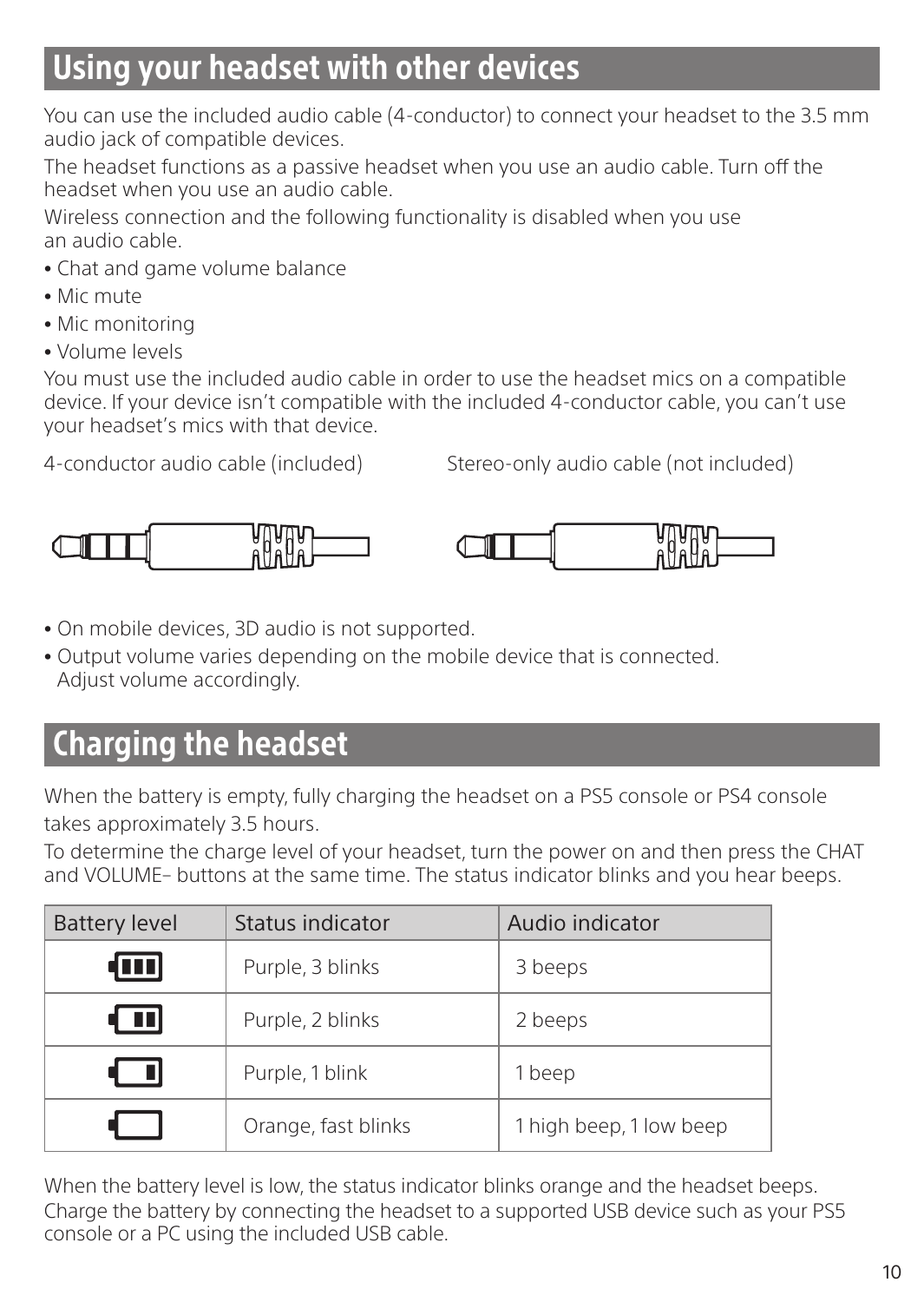## Using your headset with other devices

You can use the included audio cable (4-conductor) to connect your headset to the 3.5 mm audio jack of compatible devices.

The headset functions as a passive headset when you use an audio cable. Turn off the headset when you use an audio cable.

Wireless connection and the following functionality is disabled when you use an audio cable.

- Chat and game volume balance
- <sup>ˎ</sup> Mic mute
- Mic monitoring
- <sup>ˎ</sup> Volume levels

You must use the included audio cable in order to use the headset mics on a compatible device. If your device isn't compatible with the included 4-conductor cable, you can't use your headset's mics with that device.

4-conductor audio cable (included) Stereo-only audio cable (not included)



- <sup>ˎ</sup> On mobile devices, 3D audio is not supported.
- <sup>ˎ</sup> Output volume varies depending on the mobile device that is connected. Adjust volume accordingly.

# Charging the headset

When the battery is empty, fully charging the headset on a PS5 console or PS4 console takes approximately 3.5 hours.

To determine the charge level of your headset, turn the power on and then press the CHAT and VOLUME– buttons at the same time. The status indicator blinks and you hear beeps.

| <b>Battery level</b> | Status indicator    | Audio indicator         |
|----------------------|---------------------|-------------------------|
| w                    | Purple, 3 blinks    | 3 beeps                 |
| 1 O D I              | Purple, 2 blinks    | 2 beeps                 |
|                      | Purple, 1 blink     | 1 beep                  |
|                      | Orange, fast blinks | 1 high beep, 1 low beep |

When the battery level is low, the status indicator blinks orange and the headset beeps. Charge the battery by connecting the headset to a supported USB device such as your PS5 console or a PC using the included USB cable.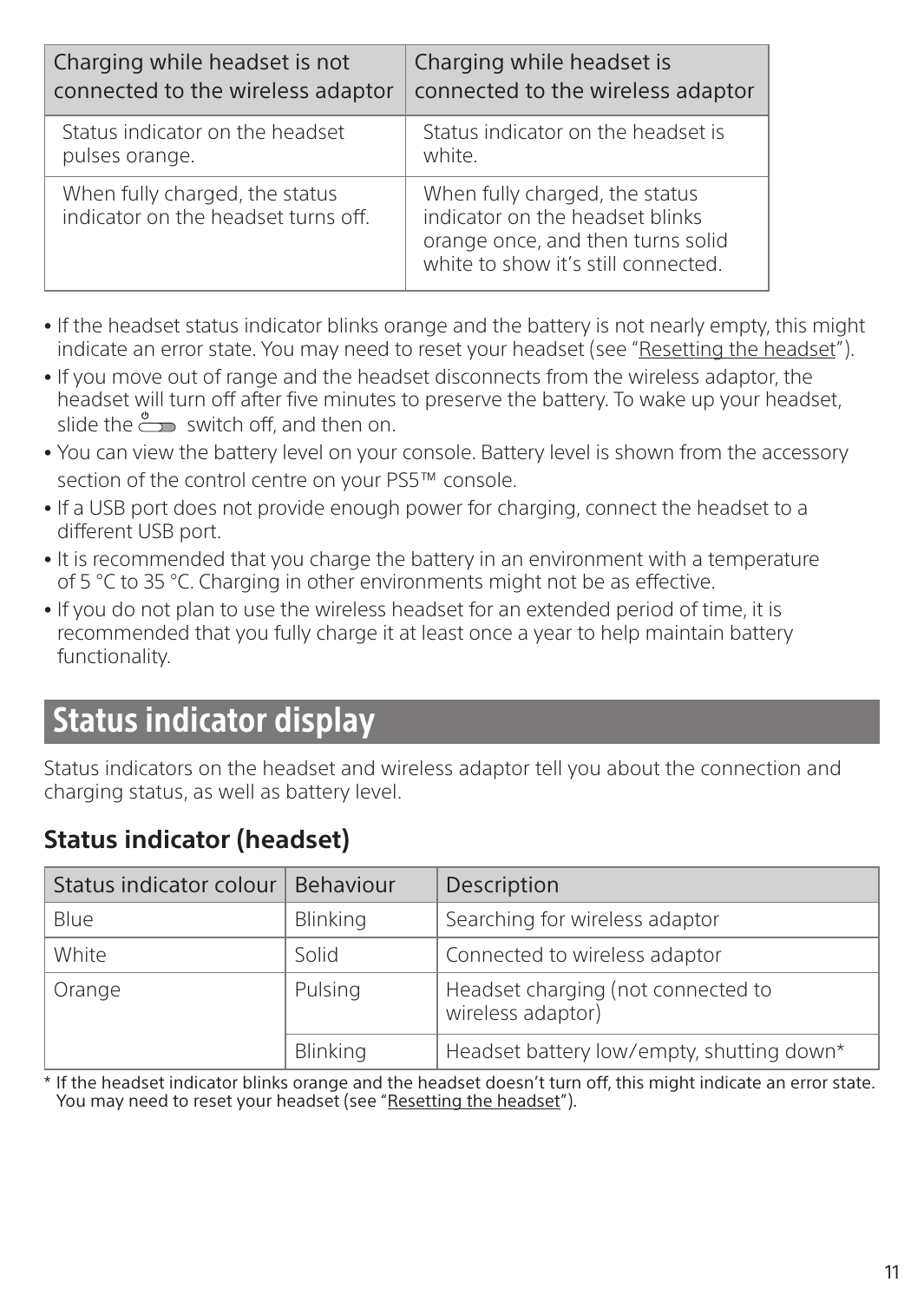| Charging while headset is not                                         | Charging while headset is                                                                                                                     |
|-----------------------------------------------------------------------|-----------------------------------------------------------------------------------------------------------------------------------------------|
| connected to the wireless adaptor                                     | connected to the wireless adaptor                                                                                                             |
| Status indicator on the headset                                       | Status indicator on the headset is                                                                                                            |
| pulses orange.                                                        | white.                                                                                                                                        |
| When fully charged, the status<br>indicator on the headset turns off. | When fully charged, the status<br>indicator on the headset blinks<br>orange once, and then turns solid<br>white to show it's still connected. |

- If the headset status indicator blinks orange and the battery is not nearly empty, this might indicate an error state. You may need to reset your headset (see "Resetting the headset").
- <sup>ˎ</sup> If you move out of range and the headset disconnects from the wireless adaptor, the headset will turn off after five minutes to preserve the battery. To wake up your headset, slide the  $\stackrel{\circ}{\longrightarrow}$  switch off, and then on.
- <sup>ˎ</sup> You can view the battery level on your console. Battery level is shown from the accessory section of the control centre on your PS5™ console.
- <sup>ˎ</sup> If a USB port does not provide enough power for charging, connect the headset to a different USB port.
- It is recommended that you charge the battery in an environment with a temperature of 5 °C to 35 °C. Charging in other environments might not be as effective.
- If you do not plan to use the wireless headset for an extended period of time, it is recommended that you fully charge it at least once a year to help maintain battery functionality.

# Status indicator display

Status indicators on the headset and wireless adaptor tell you about the connection and charging status, as well as battery level.

### Status indicator colour | Behaviour | Description Blue Blue Blinking Searching for wireless adaptor White Solid Connected to wireless adaptor Orange Pulsing | Headset charging (not connected to wireless adaptor) Blinking **Headset battery low/empty, shutting down\***

### **Status indicator (headset)**

\* If the headset indicator blinks orange and the headset doesn't turn off, this might indicate an error state. You may need to reset your headset (see "Resetting the headset").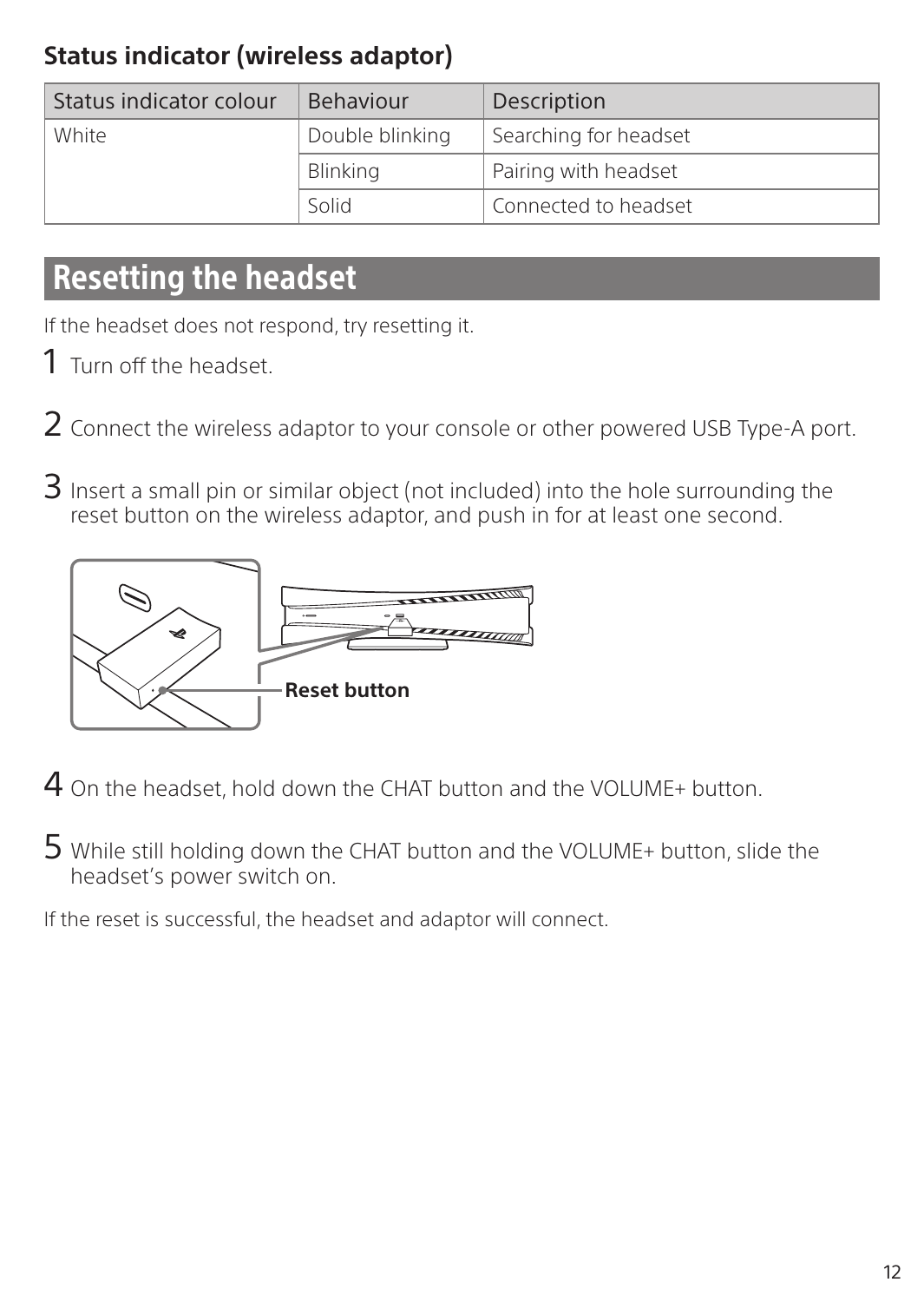### **Status indicator (wireless adaptor)**

| Status indicator colour | Behaviour       | Description           |
|-------------------------|-----------------|-----------------------|
| White                   | Double blinking | Searching for headset |
|                         | Blinking        | Pairing with headset  |
|                         | Solid           | Connected to headset  |

### Resetting the headset

If the headset does not respond, try resetting it.

- 1 Turn off the headset.
- 2 Connect the wireless adaptor to your console or other powered USB Type-A port.
- 3 Insert a small pin or similar object (not included) into the hole surrounding the reset button on the wireless adaptor, and push in for at least one second.



4 On the headset, hold down the CHAT button and the VOLUME+ button.

5 While still holding down the CHAT button and the VOLUME+ button, slide the headset's power switch on.

If the reset is successful, the headset and adaptor will connect.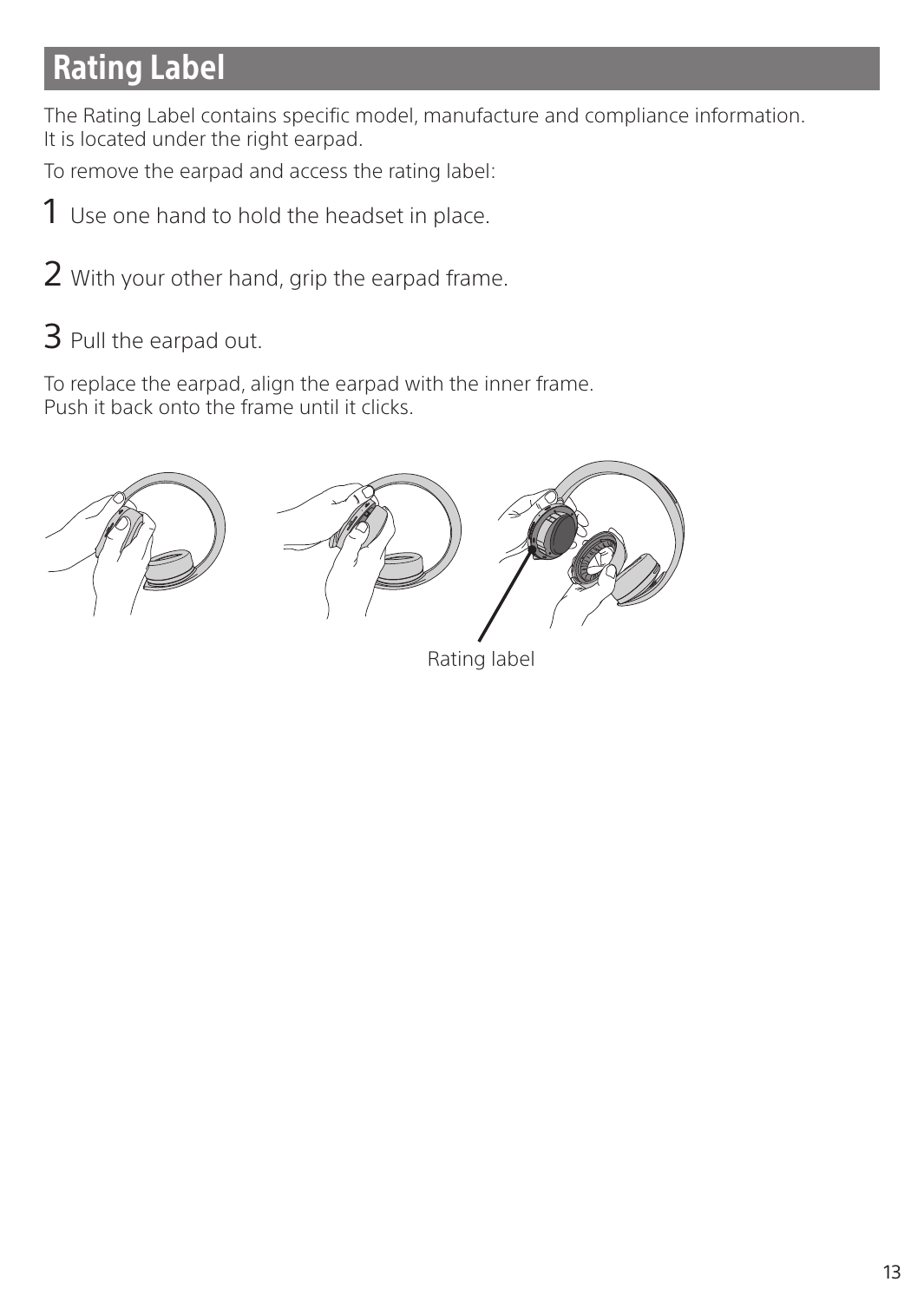# Rating Label

The Rating Label contains specific model, manufacture and compliance information. It is located under the right earpad.

To remove the earpad and access the rating label:

- 1 Use one hand to hold the headset in place.
- 2 With your other hand, grip the earpad frame.
- 3 Pull the earpad out.

To replace the earpad, align the earpad with the inner frame. Push it back onto the frame until it clicks.



Rating label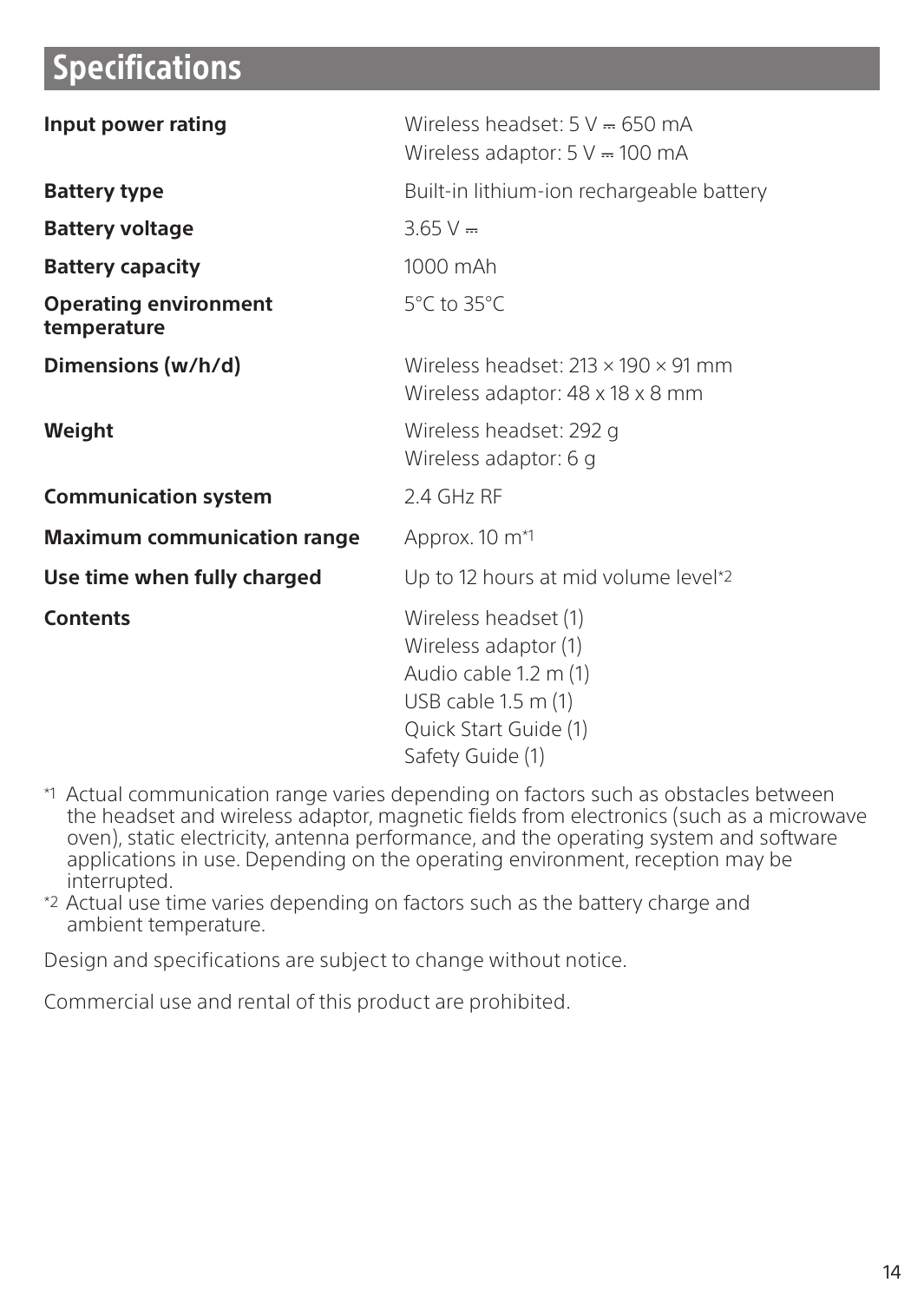### Specifications

| Input power rating                          | Wireless headset: $5 \text{ V} = 650 \text{ mA}$<br>Wireless adaptor: $5 V = 100 mA$                                                          |
|---------------------------------------------|-----------------------------------------------------------------------------------------------------------------------------------------------|
| <b>Battery type</b>                         | Built-in lithium-ion rechargeable battery                                                                                                     |
| <b>Battery voltage</b>                      | $3.65 V =$                                                                                                                                    |
| <b>Battery capacity</b>                     | 1000 mAh                                                                                                                                      |
| <b>Operating environment</b><br>temperature | 5°C to 35°C                                                                                                                                   |
| Dimensions (w/h/d)                          | Wireless headset: $213 \times 190 \times 91$ mm<br>Wireless adaptor: 48 x 18 x 8 mm                                                           |
| Weight                                      | Wireless headset: 292 g<br>Wireless adaptor: 6 g                                                                                              |
| <b>Communication system</b>                 | 2.4 GHz RF                                                                                                                                    |
| <b>Maximum communication range</b>          | Approx. 10 m <sup>*1</sup>                                                                                                                    |
| Use time when fully charged                 | Up to 12 hours at mid volume level*2                                                                                                          |
| Contents                                    | Wireless headset (1)<br>Wireless adaptor (1)<br>Audio cable 1.2 m (1)<br>USB cable $1.5$ m $(1)$<br>Quick Start Guide (1)<br>Safety Guide (1) |

- \*1 Actual communication range varies depending on factors such as obstacles between the headset and wireless adaptor, magnetic fields from electronics (such as a microwave oven), static electricity, antenna performance, and the operating system and software applications in use. Depending on the operating environment, reception may be interrupted.
- \*2 Actual use time varies depending on factors such as the battery charge and ambient temperature.

Design and specifications are subject to change without notice.

Commercial use and rental of this product are prohibited.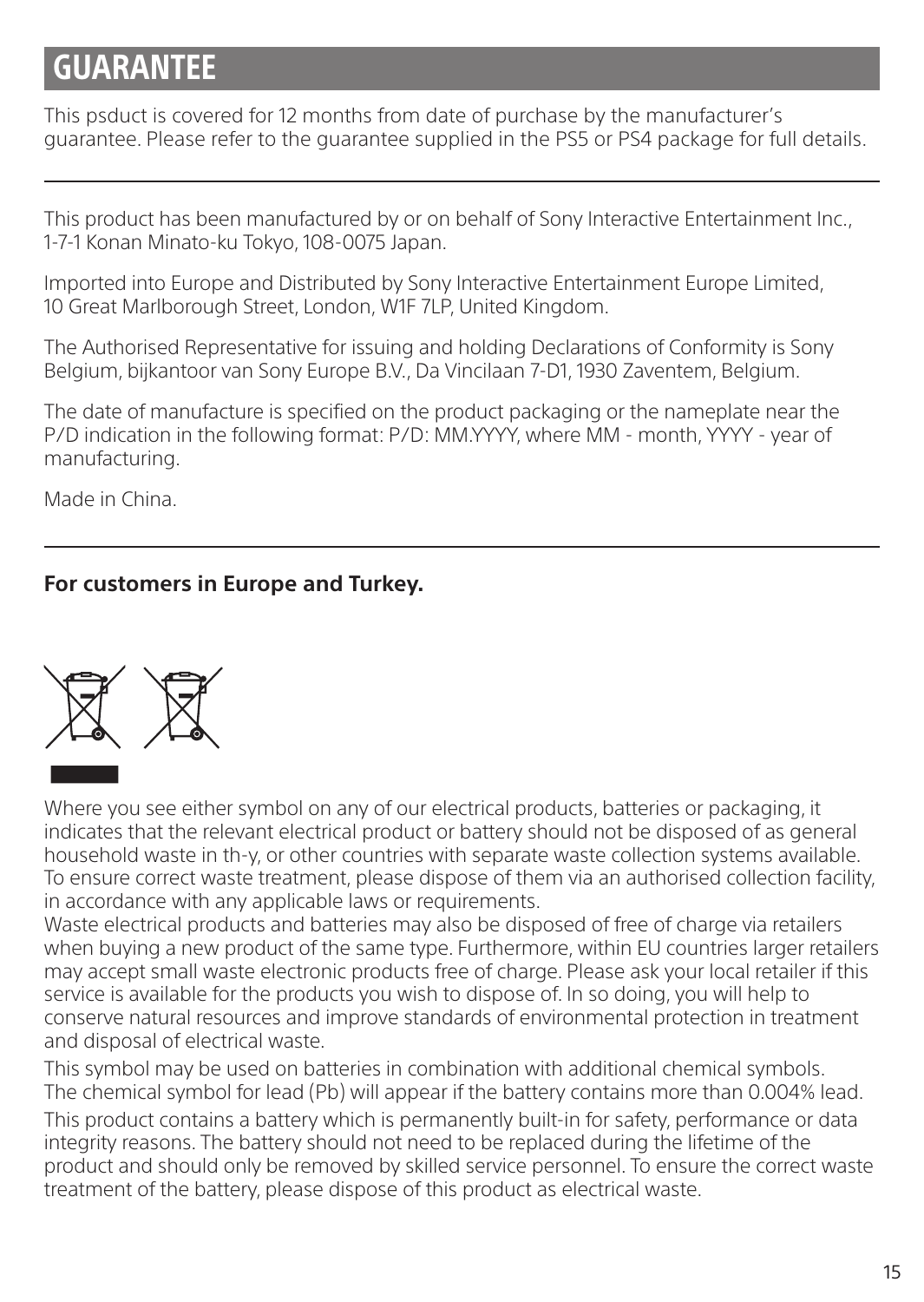# **GUARANTEE**

This psduct is covered for 12 months from date of purchase by the manufacturer's guarantee. Please refer to the guarantee supplied in the PS5 or PS4 package for full details.

This product has been manufactured by or on behalf of Sony Interactive Entertainment Inc., 1-7-1 Konan Minato-ku Tokyo, 108-0075 Japan.

Imported into Europe and Distributed by Sony Interactive Entertainment Europe Limited, 10 Great Marlborough Street, London, W1F 7LP, United Kingdom.

The Authorised Representative for issuing and holding Declarations of Conformity is Sony Belgium, bijkantoor van Sony Europe B.V., Da Vincilaan 7-D1, 1930 Zaventem, Belgium.

The date of manufacture is specified on the product packaging or the nameplate near the P/D indication in the following format: P/D: MM.YYYY, where MM - month, YYYY - year of manufacturing.

Made in China.

#### **For customers in Europe and Turkey.**



Where you see either symbol on any of our electrical products, batteries or packaging, it indicates that the relevant electrical product or battery should not be disposed of as general household waste in th-y, or other countries with separate waste collection systems available. To ensure correct waste treatment, please dispose of them via an authorised collection facility, in accordance with any applicable laws or requirements.

Waste electrical products and batteries may also be disposed of free of charge via retailers when buying a new product of the same type. Furthermore, within EU countries larger retailers may accept small waste electronic products free of charge. Please ask your local retailer if this service is available for the products you wish to dispose of. In so doing, you will help to conserve natural resources and improve standards of environmental protection in treatment and disposal of electrical waste.

This symbol may be used on batteries in combination with additional chemical symbols. The chemical symbol for lead (Pb) will appear if the battery contains more than 0.004% lead.

This product contains a battery which is permanently built-in for safety, performance or data integrity reasons. The battery should not need to be replaced during the lifetime of the product and should only be removed by skilled service personnel. To ensure the correct waste treatment of the battery, please dispose of this product as electrical waste.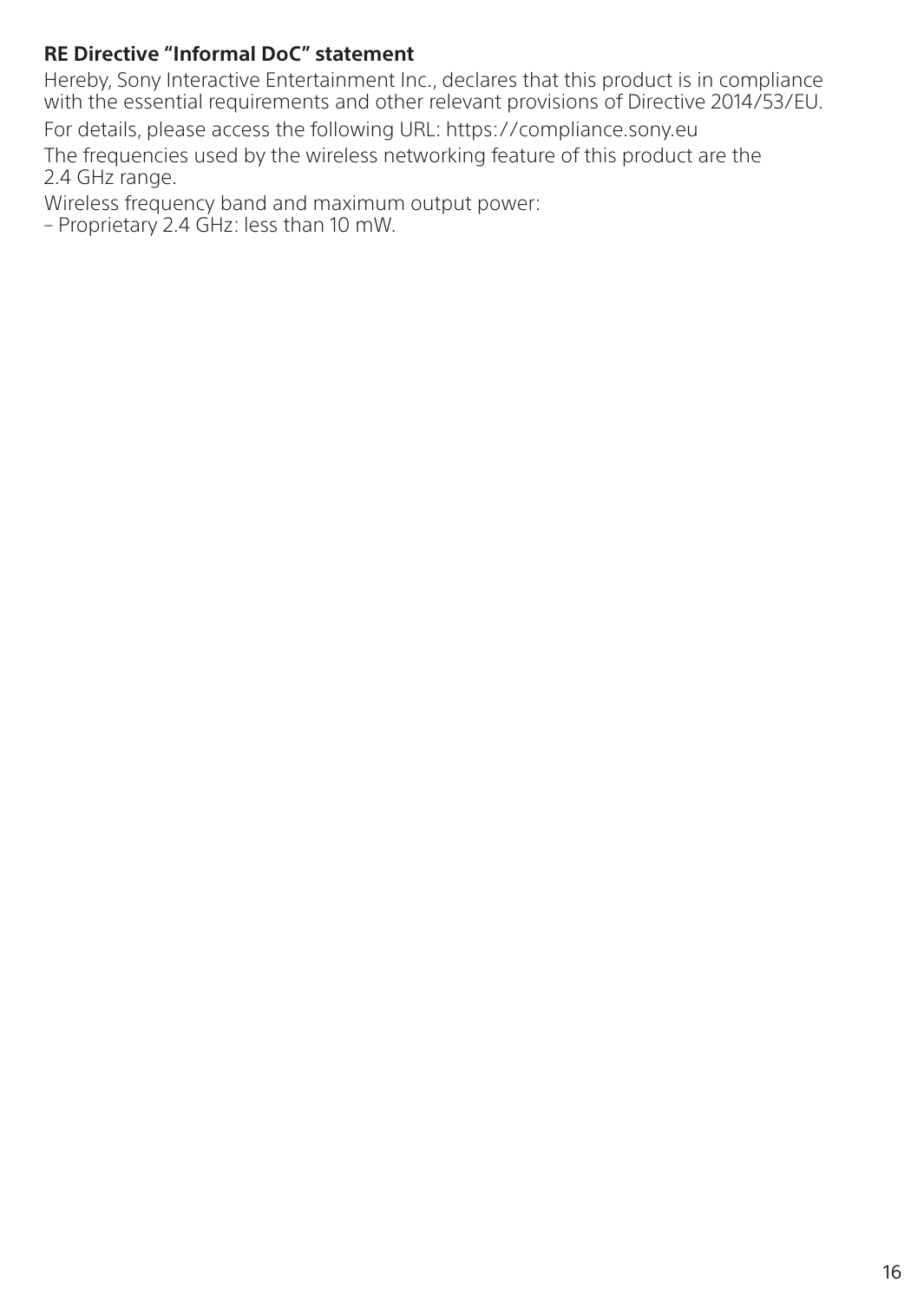#### **RE Directive "Informal DoC" statement**

Hereby, Sony Interactive Entertainment Inc., declares that this product is in compliance with the essential requirements and other relevant provisions of Directive 2014/53/EU.

For details, please access the following URL: https://compliance.sony.eu

The frequencies used by the wireless networking feature of this product are the 2.4 GHz range.

Wireless frequency band and maximum output power:

– Proprietary 2.4 GHz: less than 10 mW.